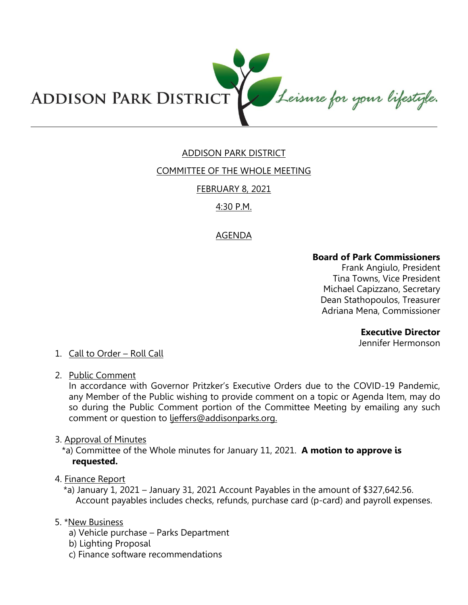

# ADDISON PARK DISTRICT

## COMMITTEE OF THE WHOLE MEETING

## FEBRUARY 8, 2021

## 4:30 P.M.

## AGENDA

#### **Board of Park Commissioners**

Frank Angiulo, President Tina Towns, Vice President Michael Capizzano, Secretary Dean Stathopoulos, Treasurer Adriana Mena, Commissioner

#### **Executive Director**

Jennifer Hermonson

# 1. Call to Order – Roll Call

2. Public Comment

In accordance with Governor Pritzker's Executive Orders due to the COVID-19 Pandemic, any Member of the Public wishing to provide comment on a topic or Agenda Item, may do so during the Public Comment portion of the Committee Meeting by emailing any such comment or question to ljeffers@addisonparks.org.

3. Approval of Minutes

\*a) Committee of the Whole minutes for January 11, 2021. **A motion to approve is requested.** 

#### 4. Finance Report

\*a) January 1, 2021 – January 31, 2021 Account Payables in the amount of \$327,642.56. Account payables includes checks, refunds, purchase card (p-card) and payroll expenses.

## 5. \*New Business

- a) Vehicle purchase Parks Department
- b) Lighting Proposal
- c) Finance software recommendations